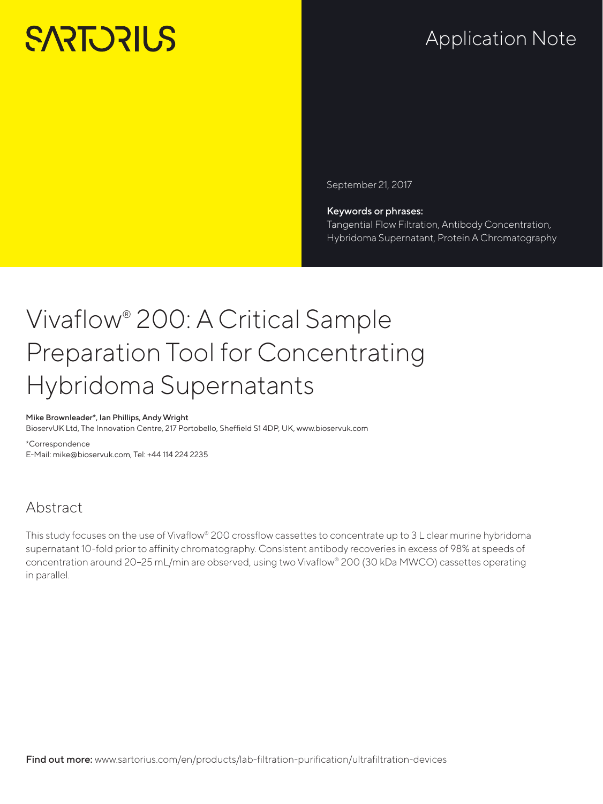# **SARTORILS**

## Application Note

September 21, 2017

#### Keywords or phrases:

Tangential Flow Filtration, Antibody Concentration, Hybridoma Supernatant, Protein A Chromatography

## Vivaflow® 200: A Critical Sample Preparation Tool for Concentrating Hybridoma Supernatants

#### Mike Brownleader\*, Ian Phillips, Andy Wright

BioservUK Ltd, The Innovation Centre, 217 Portobello, Sheffield S1 4DP, UK, www.bioservuk.com

\*Correspondence E-Mail: mike@bioservuk.com, Tel: +44 114 224 2235

## Abstract

This study focuses on the use of Vivaflow® 200 crossflow cassettes to concentrate up to 3L clear murine hybridoma supernatant 10-fold prior to affinity chromatography. Consistent antibody recoveries in excess of 98% at speeds of concentration around 20–25 mL/min are observed, using two Vivaflow® 200 (30 kDa MWCO) cassettes operating in parallel.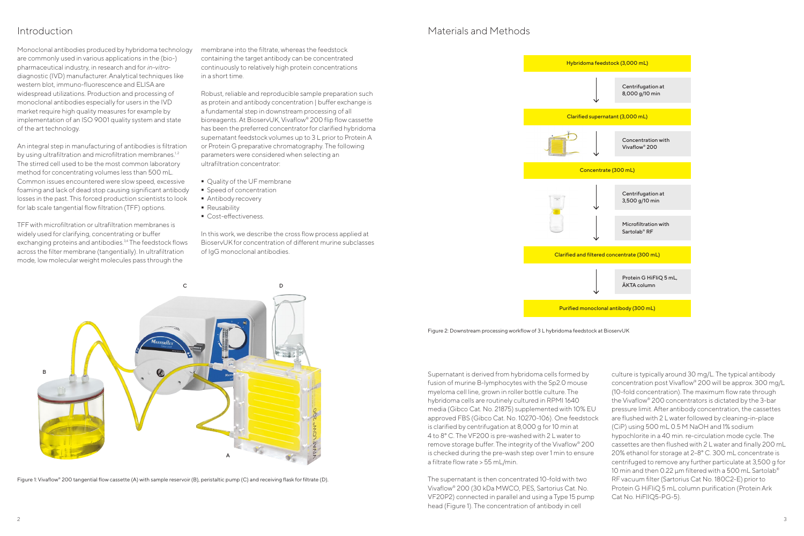

| stock (3,000 mL)                                       |
|--------------------------------------------------------|
| Centrifugation at<br>8,000 g/10 min                    |
| atant (3,000 mL)                                       |
| <b>Concentration with</b><br>Vivaflow <sup>®</sup> 200 |
| e (300 mL)                                             |
| Centrifugation at<br>3,500 g/10 min                    |
| Microfiltration with<br>Sartolab <sup>®</sup> RF       |
| concentrate (300 m <mark>L</mark> )                    |
| Protein G HiFliQ 5 mL,<br><b>AKTA</b> column           |
| I antibody (300 mL)                                    |

## Introduction

Monoclonal antibodies produced by hybridoma technology are commonly used in various applications in the (bio-) pharmaceutical industry, in research and for *in-vitro*diagnostic (IVD) manufacturer. Analytical techniques like western blot, immuno-fluorescence and ELISA are widespread utilizations. Production and processing of monoclonal antibodies especially for users in the IVD market require high quality measures for example by implementation of an ISO 9001 quality system and state of the art technology.

An integral step in manufacturing of antibodies is filtration by using ultrafiltration and microfiltration membranes.<sup>1,2</sup> The stirred cell used to be the most common laboratory method for concentrating volumes less than 500 mL. Common issues encountered were slow speed, excessive foaming and lack of dead stop causing significant antibody losses in the past. This forced production scientists to look for lab scale tangential flow filtration (TFF) options.



Figure 1: Vivaflow® 200 tangential flow cassette (A) with sample reservoir (B), peristaltic pump (C) and receiving flask for filtrate (D).

TFF with microfiltration or ultrafiltration membranes is widely used for clarifying, concentrating or buffer exchanging proteins and antibodies.<sup>3,4</sup> The feedstock flows across the filter membrane (tangentially). In ultrafiltration mode, low molecular weight molecules pass through the

membrane into the filtrate, whereas the feedstock containing the target antibody can be concentrated continuously to relatively high protein concentrations in a short time.

Robust, reliable and reproducible sample preparation such as protein and antibody concentration | buffer exchange is a fundamental step in downstream processing of all bioreagents. At BioservUK, Vivaflow® 200 flip flow cassette has been the preferred concentrator for clarified hybridoma supernatant feedstock volumes up to 3 L prior to Protein A or Protein G preparative chromatography. The following parameters were considered when selecting an ultrafiltration concentrator:

- **Quality of the UF membrane**
- **Speed of concentration**
- **Antibody recovery**
- **Reusability**
- **Cost-effectiveness.**

In this work, we describe the cross flow process applied at BioservUK for concentration of different murine subclasses of IgG monoclonal antibodies.

### Materials and Methods

Figure 2: Downstream processing workflow of 3 L hybridoma feedstock at BioservUK

Supernatant is derived from hybridoma cells formed by fusion of murine B-lymphocytes with the Sp2.0 mouse myeloma cell line, grown in roller bottle culture. The hybridoma cells are routinely cultured in RPMI 1640 media (Gibco Cat. No. 21875) supplemented with 10% EU approved FBS (Gibco Cat. No. 10270-106). One feedstock is clarified by centrifugation at 8,000 g for 10 min at 4 to 8° C. The VF200 is pre-washed with 2 L water to remove storage buffer. The integrity of the Vivaflow® 200 is checked during the pre-wash step over 1 min to ensure a filtrate flow rate > 55 mL/min.

The supernatant is then concentrated 10-fold with two Vivaflow® 200 (30 kDa MWCO, PES, Sartorius Cat. No. VF20P2) connected in parallel and using a Type 15 pump head (Figure 1). The concentration of antibody in cell

culture is typically around 30 mg/L. The typical antibody concentration post Vivaflow® 200 will be approx. 300 mg/L (10-fold concentration). The maximum flow rate through the Vivaflow® 200 concentrators is dictated by the 3-bar pressure limit. After antibody concentration, the cassettes are flushed with 2 L water followed by cleaning-in-place (CiP) using 500 mL 0.5 M NaOH and 1% sodium hypochlorite in a 40 min. re-circulation mode cycle. The cassettes are then flushed with 2 L water and finally 200 mL 20% ethanol for storage at 2–8° C. 300 mL concentrate is centrifuged to remove any further particulate at 3,500 g for 10 min and then 0.22 µm filtered with a 500 mL Sartolab® RF vacuum filter (Sartorius Cat No. 180C2-E) prior to Protein G HiFliQ 5 mL column purification (Protein Ark Cat No. HiFlIQ5-PG-5).